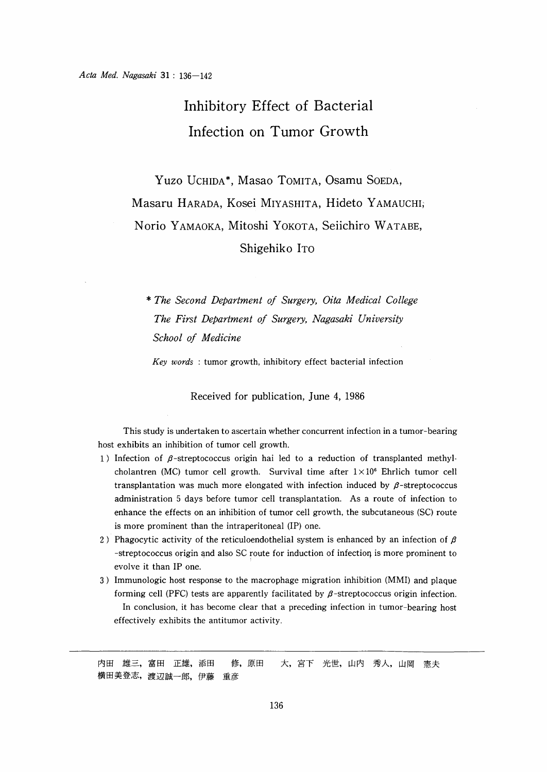# Inhibitory Effect of Bacterial Infection on Tumor Growth

 Yuzo UCHIDA\*, Masao TOMITA, Osamu SOEDA, Masaru HARADA, Kosei MIYASHITA, Hideto YAMAUCHI; Norio YAMAOKA, Mitoshi YOKOTA, Seiichiro WATABE, Shigehiko ITO

\* The Second Department of Surgery , Oita Medical College The First Department of Surgery, Nagasaki University School of Medicine

Key words : tumor growth, inhibitory effect bacterial infection

Received for publication, June 4, 1986

 This study is undertaken to ascertain whether concurrent infection in a tumor-bearing host exhibits an inhibition of tumor cell growth.

- 1) Infection of  $\beta$ -streptococcus origin hai led to a reduction of transplanted methylcholantren (MC) tumor cell growth. Survival time after  $1 \times 10^6$  Ehrlich tumor cell transplantation was much more elongated with infection induced by  $\beta$ -streptococcus administration 5 days before tumor cell transplantation. As a route of infection to enhance the effects on an inhibition of tumor cell growth, the subcutaneous (SC) route is more prominent than the intraperitoneal (IP) one.
- 2) Phagocytic activity of the reticuloendothelial system is enhanced by an infection of  $\beta$ -streptococcus origin and also SC route for induction of infection is more prominent to evolve it than IP one.
- 3) Immunologic host response to the macrophage migration inhibition (MMI) and plaque forming cell (PFC) tests are apparently facilitated by  $\beta$ -streptococcus origin infection. In conclusion, it has become clear that a preceding infection in tumor-bearing host effectively exhibits the antitumor activity.

内田 雄三,富田 正雄,添田 修,原田 大,宮下 光世,山内 秀人,山岡 憲夫 横田美登志,渡辺誠一郎,伊藤 重彦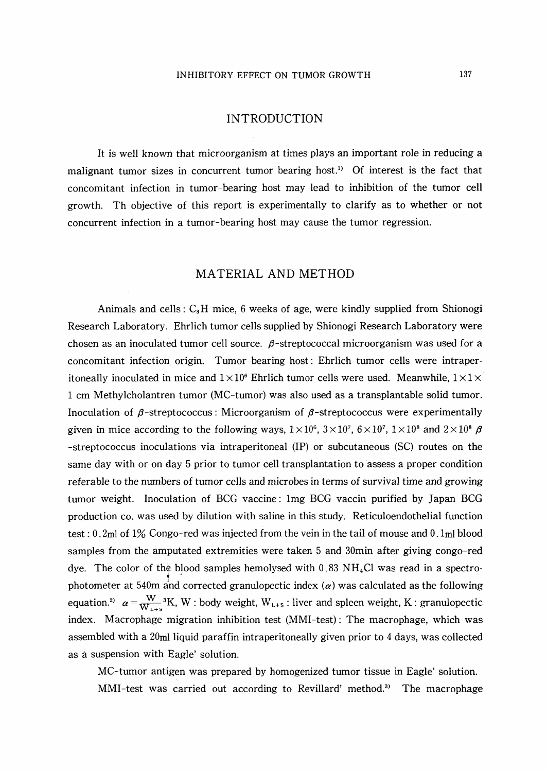## INTRODUCTION

It is well known that microorganism at times plays an important role in reducing a malignant tumor sizes in concurrent tumor bearing host.<sup>1)</sup> Of interest is the fact that concomitant infection in tumor-bearing host may lead to inhibition of the tumor cell growth. Th objective of this report is experimentally to clarify as to whether or not concurrent infection in a tumor-bearing host may cause the tumor regression.

## MATERIAL AND METHOD

Animals and cells:  $C_3H$  mice, 6 weeks of age, were kindly supplied from Shionogi Research Laboratory. Ehrlich tumor cells supplied by Shionogi Research Laboratory were chosen as an inoculated tumor cell source.  $\beta$ -streptococcal microorganism was used for a concomitant infection origin. Tumor-bearing host : Ehrlich tumor cells were intraperitoneally inoculated in mice and  $1 \times 10^6$  Ehrlich tumor cells were used. Meanwhile,  $1 \times 1 \times$ 1 cm Methylcholantren tumor (MC-tumor) was also used as a transplantable solid tumor. Inoculation of  $\beta$ -streptococcus: Microorganism of  $\beta$ -streptococcus were experimentally given in mice according to the following ways,  $1 \times 10^6$ ,  $3 \times 10^7$ ,  $6 \times 10^7$ ,  $1 \times 10^8$  and  $2 \times 10^8$   $\beta$ -streptococcus inoculations via intraperitoneal (IP) or subcutaneous (SO routes on the same day with or on day 5 prior to tumor cell transplantation to assess a proper condition referable to the numbers of tumor cells and microbes in terms of survival time and growing tumor weight. Inoculation of BCG vaccine : Img BCG vaccin purified by Japan BCG production co. was used by dilution with saline in this study. Reticuloendothelial function test :  $0.2$ ml of  $1\%$  Congo-red was injected from the vein in the tail of mouse and  $0.1$ ml blood samples from the amputated extremities were taken 5 and 30min after giving congo-red dye. The color of the blood samples hemolysed with  $0.83 \text{ NH}_4\text{Cl}$  was read in a spectrophotometer at 540m and corrected granulopectic index  $(\alpha)$  was calculated as the following equation.<sup>2)</sup>  $\alpha = \frac{W}{W_{L+5}}^3 K$ , W : body weight,  $W_{L+5}$  : liver and spleen weight, K : granulopectic index. Macrophage migration inhibition test (MMI-test) : The macrophage, which was assembled with a 20ml liquid paraffin intraperitoneally given prior to 4 days, was collected as a suspension with Eagle' solution.

MC-tumor antigen was prepared by homogenized tumor tissue in Eagle' solution. MMI-test was carried out according to Revillard' method.<sup>3)</sup> The macrophage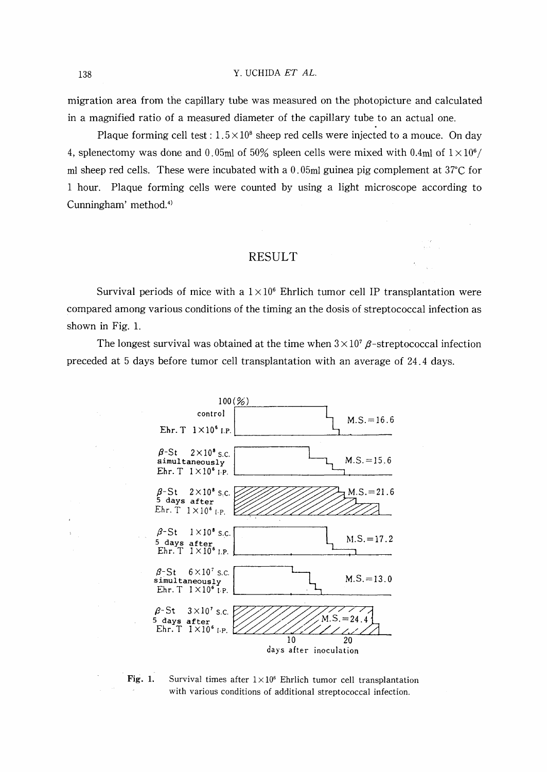#### 138 Y. UCHIDA ET AL.

migration area from the capillary tube was measured on the photopicture and calculated in a magnified ratio of a measured diameter of the capillary tube to an actual one.

Plaque forming cell test :  $1.5 \times 10^8$  sheep red cells were injected to a mouce. On day 4, splenectomy was done and 0.05ml of 50% spleen cells were mixed with 0.4ml of  $1 \times 10^6$ / ml sheep red cells. These were incubated with a  $0.05$ ml guinea pig complement at  $37^{\circ}$ C for 1 hour. Plaque forming cells were counted by using a light microscope according to Cunningham' method.<sup>4)</sup>

#### **RESULT**

Survival periods of mice with a  $1 \times 10^6$  Ehrlich tumor cell IP transplantation were compared among various conditions of the timing an the dosis of streptococcal infection as shown in Fig. 1.

The longest survival was obtained at the time when  $3 \times 10^7$   $\beta$ -streptococcal infection preceded at 5 days before tumor cell transplantation with an average of 24.4 days.



Fig. 1. Survival times after  $1 \times 10^6$  Ehrlich tumor cell transplantation with various conditions of additional streptococcal infection.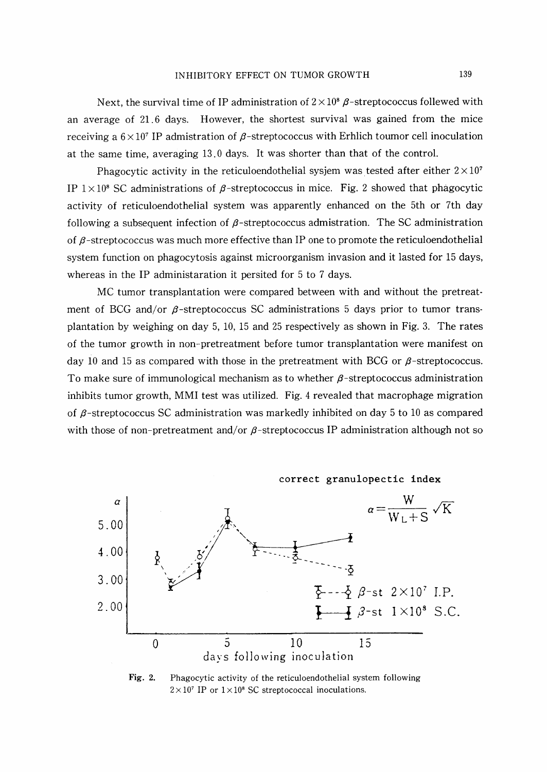Next, the survival time of IP administration of  $2 \times 10^8$   $\beta$ -streptococcus follewed with an average of 21.6 days. However, the shortest survival was gained from the mice receiving a  $6 \times 10^7$  IP admistration of  $\beta$ -streptococcus with Erhlich toumor cell inoculation at the same time, averaging 13.0 days. It was shorter than that of the control.

Phagocytic activity in the reticuloendothelial sysjem was tested after either  $2 \times 10^7$ IP  $1 \times 10^8$  SC administrations of  $\beta$ -streptococcus in mice. Fig. 2 showed that phagocytic activity of reticuloendothelial system was apparently enhanced on the 5th or 7th day following a subsequent infection of  $\beta$ -streptococcus admistration. The SC administration of  $\beta$ -streptococcus was much more effective than IP one to promote the reticuloendothelial system function on phagocytosis against microorganism invasion and it lasted for 15 days, whereas in the IP administaration it persited for 5 to 7 days.

MC tumor transplantation were compared between with and without the pretreatment of BCG and/or  $\beta$ -streptococcus SC administrations 5 days prior to tumor transplantation by weighing on day 5, 10, 15 and 25 respectively as shown in Fig. 3. The rates of the tumor growth in non-pretreatment before tumor transplantation were manifest on day 10 and 15 as compared with those in the pretreatment with BCG or  $\beta$ -streptococcus. To make sure of immunological mechanism as to whether  $\beta$ -streptococcus administration inhibits tumor growth, MMI test was utilized. Fig. 4 revealed that macrophage migration of  $\beta$ -streptococcus SC administration was markedly inhibited on day 5 to 10 as compared with those of non-pretreatment and/or  $\beta$ -streptococcus IP administration although not so

correct granulopectic index



Fig. 2. 2. Phagocytic activity of the reticuloendothelial system following  $2 \times 10^7$  IP or  $1 \times 10^8$  SC streptococcal inoculations.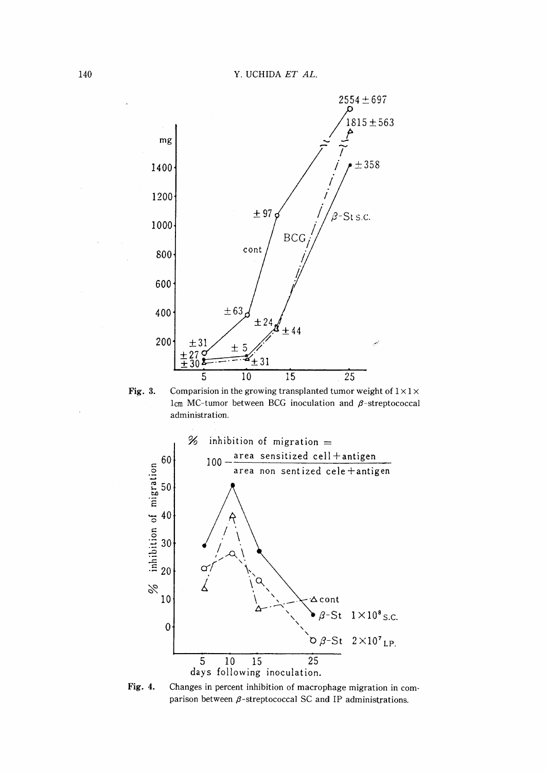

Fig. 3. Comparision in the growing transplanted tumor weight of  $1 \times 1 \times$ lcm MC-tumor between BCG inoculation and  $\beta$ -streptococcal administration.



Fig. 4. Changes in percent inhibition of macrophage migration in comparison between  $\beta$ -streptococcal SC and IP administrations.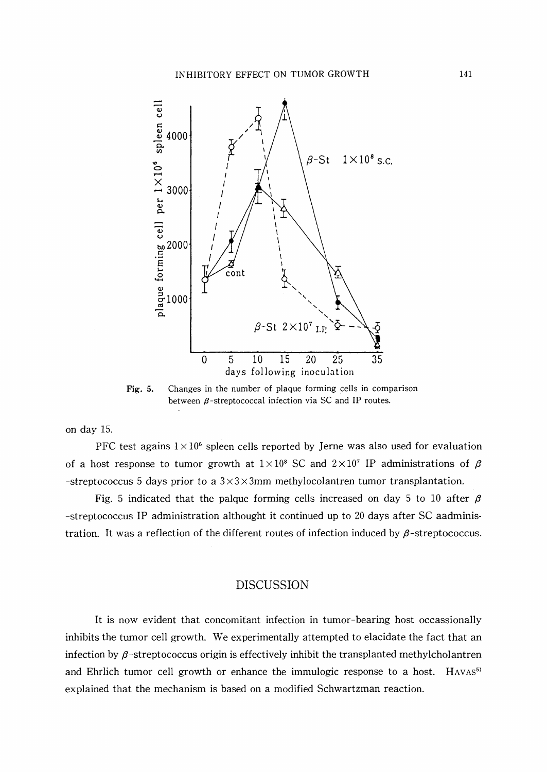

Fig. 5. Changes in the number of plaque forming cells in comparison between  $\beta$ -streptococcal infection via SC and IP routes.

on day 15.

PFC test agains  $1 \times 10^6$  spleen cells reported by Jerne was also used for evaluation of a host response to tumor growth at  $1 \times 10^8$  SC and  $2 \times 10^7$  IP administrations of  $\beta$ -streptococcus 5 days prior to a  $3 \times 3 \times 3$  mm methylocolantren tumor transplantation.

Fig. 5 indicated that the palque forming cells increased on day 5 to 10 after  $\beta$ -streptococcus IP administration althought it continued up to 20 days after SC aadministration. It was a reflection of the different routes of infection induced by  $\beta$ -streptococcus.

### DISCUSSION

It is now evident that concomitant infection in tumor-bearing host occassionally inhibits the tumor cell growth. We experimentally attempted to elacidate the fact that an infection by  $\beta$ -streptococcus origin is effectively inhibit the transplanted methylcholantren and Ehrlich tumor cell growth or enhance the immulogic response to a host.  $HAVAS<sup>5</sup>$ explained that the mechanism is based on a modified Schwartzman reaction.